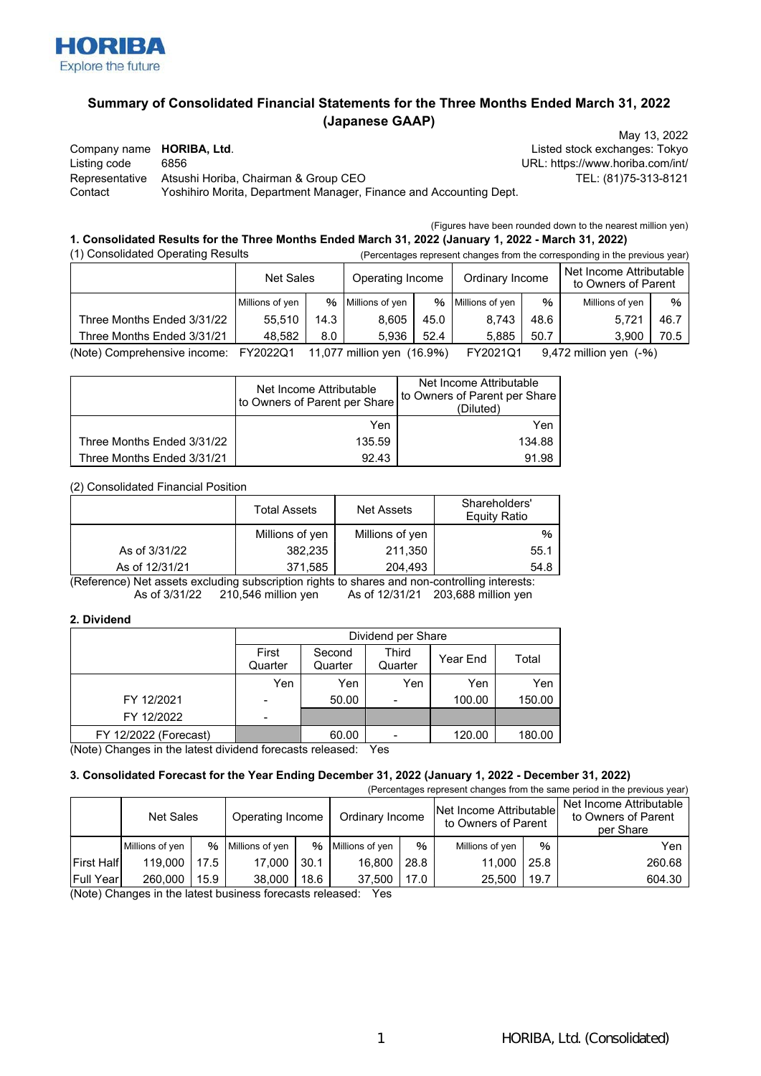

# **Summary of Consolidated Financial Statements for the Three Months Ended March 31, 2022 (Japanese GAAP)**

Company name **HORIBA, Ltd**. **Listed stock exchanges: Tokyo** Listing code 6856 URL: https://www.horiba.com/int/ Representative Atsushi Horiba, Chairman & Group CEO TEL: (81)75-313-8121 Contact Yoshihiro Morita, Department Manager, Finance and Accounting Dept.

May 13, 2022

(Figures have been rounded down to the nearest million yen)

#### (1) Consolidated Operating Results (Percentages represent changes from the corresponding in the previous year) **1. Consolidated Results for the Three Months Ended March 31, 2022 (January 1, 2022 - March 31, 2022)**

| <b>1) Consolidated Operating Results</b> |                 |      |                                 |      |                   | (Percentages represent changes from the corresponding in the previous year) |                                                |      |
|------------------------------------------|-----------------|------|---------------------------------|------|-------------------|-----------------------------------------------------------------------------|------------------------------------------------|------|
|                                          | Net Sales       |      | Operating Income                |      | Ordinary Income   |                                                                             | Net Income Attributable<br>to Owners of Parent |      |
|                                          | Millions of yen |      | % Millions of yen               |      | % Millions of yen | %                                                                           | Millions of yen                                | %    |
| Three Months Ended 3/31/22               | 55.510          | 14.3 | 8.605                           | 45.0 | 8.743             | 48.6                                                                        | 5.721                                          | 46.7 |
| Three Months Ended 3/31/21               | 48.582          | 8.0  | 5.936                           | 52.4 | 5.885             | 50.7                                                                        | 3.900                                          | 70.5 |
| (Note) Comprohancive income              | EV202201        |      | $11.077$ million von $(16.004)$ |      | EVMOMA            |                                                                             | $0.472$ million von $(04)$                     |      |

(Note) Comprehensive income: FY2022Q1 11,077 million yen (16.9%) FY2021Q1 9,472 million yen (-%)

|                            | Net Income Attributable<br>to Owners of Parent per Share | Net Income Attributable<br>to Owners of Parent per Share<br>(Diluted) |  |
|----------------------------|----------------------------------------------------------|-----------------------------------------------------------------------|--|
|                            | Yen                                                      | Yen                                                                   |  |
| Three Months Ended 3/31/22 | 135.59                                                   | 134.88                                                                |  |
| Three Months Ended 3/31/21 | 92.43                                                    | 91.98                                                                 |  |

(2) Consolidated Financial Position

|                | <b>Total Assets</b> | Net Assets      | Shareholders'<br><b>Equity Ratio</b> |
|----------------|---------------------|-----------------|--------------------------------------|
|                | Millions of yen     | Millions of yen | $\%$                                 |
| As of 3/31/22  | 382,235             | 211,350         | 55.1                                 |
| As of 12/31/21 | 371,585             | 204.493         | 54.8                                 |

As of 3/31/22 210,546 million yen As of 12/31/21 203,688 million yen (Reference) Net assets excluding subscription rights to shares and non-controlling interests:

### **2. Dividend**

|                                    | Dividend per Share |                   |                  |          |        |  |
|------------------------------------|--------------------|-------------------|------------------|----------|--------|--|
|                                    | First<br>Quarter   | Second<br>Quarter | Third<br>Quarter | Year End | Total  |  |
|                                    | Yen                | Yen               | Yen              | Yen      | Yen    |  |
| FY 12/2021                         |                    | 50.00             | -                | 100.00   | 150.00 |  |
| FY 12/2022                         |                    |                   |                  |          |        |  |
| FY 12/2022 (Forecast)<br>$\lambda$ |                    | 60.00             | -                | 120.00   | 180.00 |  |

(Note) Changes in the latest dividend forecasts released: Yes

## **3. Consolidated Forecast for the Year Ending December 31, 2022 (January 1, 2022 - December 31, 2022)**

(Percentages represent changes from the same period in the previous year)

|                               |      |                  |                 |                  |                                                                                                                                                                                                                                                                                                                         |                 |      | Net Income Attributable<br>to Owners of Parent<br>per Share |
|-------------------------------|------|------------------|-----------------|------------------|-------------------------------------------------------------------------------------------------------------------------------------------------------------------------------------------------------------------------------------------------------------------------------------------------------------------------|-----------------|------|-------------------------------------------------------------|
| Millions of yen               | %    |                  |                 |                  | $\%$                                                                                                                                                                                                                                                                                                                    | Millions of yen | $\%$ | Yen                                                         |
| <b>First Halfl</b><br>119,000 | 17.5 | 17.000           | 30.1            | 16.800           | 28.8                                                                                                                                                                                                                                                                                                                    | 11.000          | 25.8 | 260.68                                                      |
| <b>Full Yearl</b><br>260,000  | 15.9 | 38,000           | 18.6            | 37.500           | 17.0                                                                                                                                                                                                                                                                                                                    | 25.500          | 19.7 | 604.30                                                      |
|                               |      | <b>Net Sales</b> | Millions of yen | Operating Income | %   Millions of yen<br>$\mathbf{A}$ and $\mathbf{A}$ and $\mathbf{A}$ and $\mathbf{A}$ and $\mathbf{A}$ and $\mathbf{A}$ and $\mathbf{A}$ and $\mathbf{A}$ and $\mathbf{A}$ and $\mathbf{A}$ and $\mathbf{A}$ and $\mathbf{A}$ and $\mathbf{A}$ and $\mathbf{A}$ and $\mathbf{A}$ and $\mathbf{A}$ and $\mathbf{A}$ and | Ordinary Income |      | Net Income Attributable<br>to Owners of Parent              |

(Note) Changes in the latest business forecasts released: Yes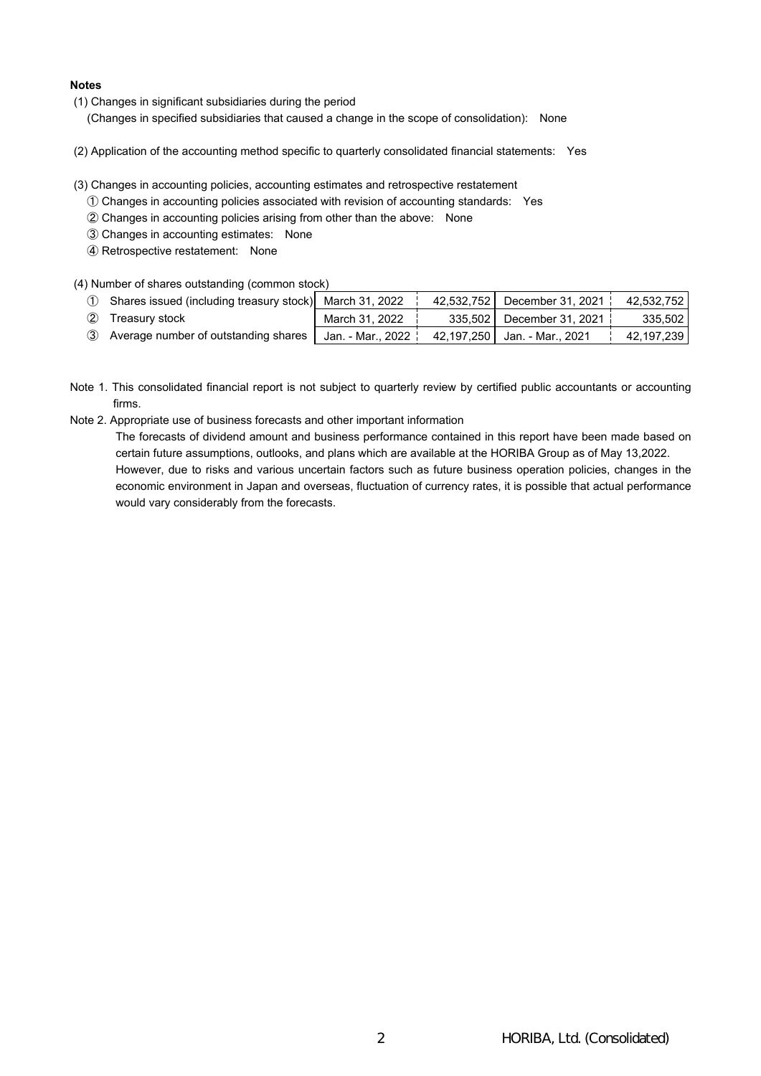## **Notes**

(1) Changes in significant subsidiaries during the period

(Changes in specified subsidiaries that caused a change in the scope of consolidation): None

(2) Application of the accounting method specific to quarterly consolidated financial statements: Yes

(3) Changes in accounting policies, accounting estimates and retrospective restatement

- ① Changes in accounting policies associated with revision of accounting standards: Yes
- ② Changes in accounting policies arising from other than the above: None
- ③ Changes in accounting estimates: None
- ④ Retrospective restatement: None

(4) Number of shares outstanding (common stock)

| Shares issued (including treasury stock) March 31, 2022 |                   | 42,532,752 | December 31. 2021 <b>:</b>   | 42.532.752 |
|---------------------------------------------------------|-------------------|------------|------------------------------|------------|
| ② Treasury stock                                        | March 31, 2022    |            | 335,502 December 31, 2021    | 335.502    |
| 3 Average number of outstanding shares                  | Jan. - Mar., 2022 |            | 42,197,250 Jan. - Mar., 2021 | 42,197,239 |

- Note 1. This consolidated financial report is not subject to quarterly review by certified public accountants or accounting firms.
- Note 2. Appropriate use of business forecasts and other important information

The forecasts of dividend amount and business performance contained in this report have been made based on certain future assumptions, outlooks, and plans which are available at the HORIBA Group as of May 13,2022. However, due to risks and various uncertain factors such as future business operation policies, changes in the economic environment in Japan and overseas, fluctuation of currency rates, it is possible that actual performance would vary considerably from the forecasts.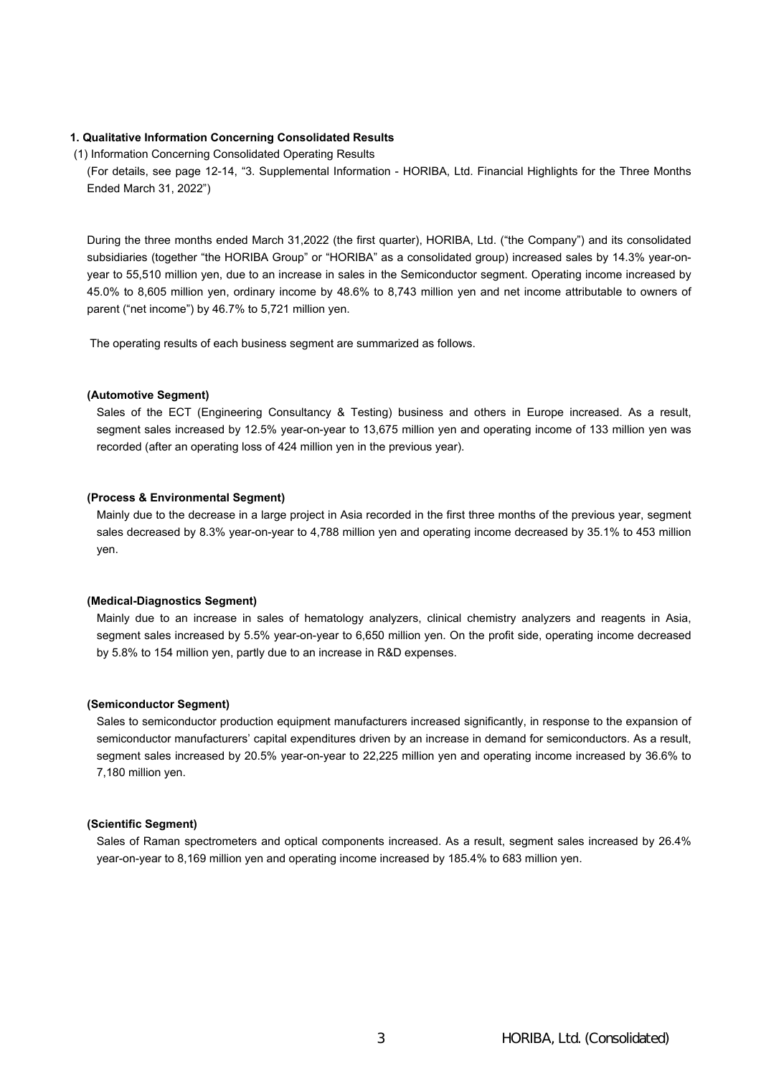# **1. Qualitative Information Concerning Consolidated Results**

(1) Information Concerning Consolidated Operating Results

(For details, see page 12-14, "3. Supplemental Information - HORIBA, Ltd. Financial Highlights for the Three Months Ended March 31, 2022")

During the three months ended March 31,2022 (the first quarter), HORIBA, Ltd. ("the Company") and its consolidated subsidiaries (together "the HORIBA Group" or "HORIBA" as a consolidated group) increased sales by 14.3% year-onyear to 55,510 million yen, due to an increase in sales in the Semiconductor segment. Operating income increased by 45.0% to 8,605 million yen, ordinary income by 48.6% to 8,743 million yen and net income attributable to owners of parent ("net income") by 46.7% to 5,721 million yen.

The operating results of each business segment are summarized as follows.

### **(Automotive Segment)**

Sales of the ECT (Engineering Consultancy & Testing) business and others in Europe increased. As a result, segment sales increased by 12.5% year-on-year to 13,675 million yen and operating income of 133 million yen was recorded (after an operating loss of 424 million yen in the previous year).

#### **(Process & Environmental Segment)**

Mainly due to the decrease in a large project in Asia recorded in the first three months of the previous year, segment sales decreased by 8.3% year-on-year to 4,788 million yen and operating income decreased by 35.1% to 453 million yen.

#### **(Medical-Diagnostics Segment)**

Mainly due to an increase in sales of hematology analyzers, clinical chemistry analyzers and reagents in Asia, segment sales increased by 5.5% year-on-year to 6,650 million yen. On the profit side, operating income decreased by 5.8% to 154 million yen, partly due to an increase in R&D expenses.

## **(Semiconductor Segment)**

Sales to semiconductor production equipment manufacturers increased significantly, in response to the expansion of semiconductor manufacturers' capital expenditures driven by an increase in demand for semiconductors. As a result, segment sales increased by 20.5% year-on-year to 22,225 million yen and operating income increased by 36.6% to 7,180 million yen.

#### **(Scientific Segment)**

Sales of Raman spectrometers and optical components increased. As a result, segment sales increased by 26.4% year-on-year to 8,169 million yen and operating income increased by 185.4% to 683 million yen.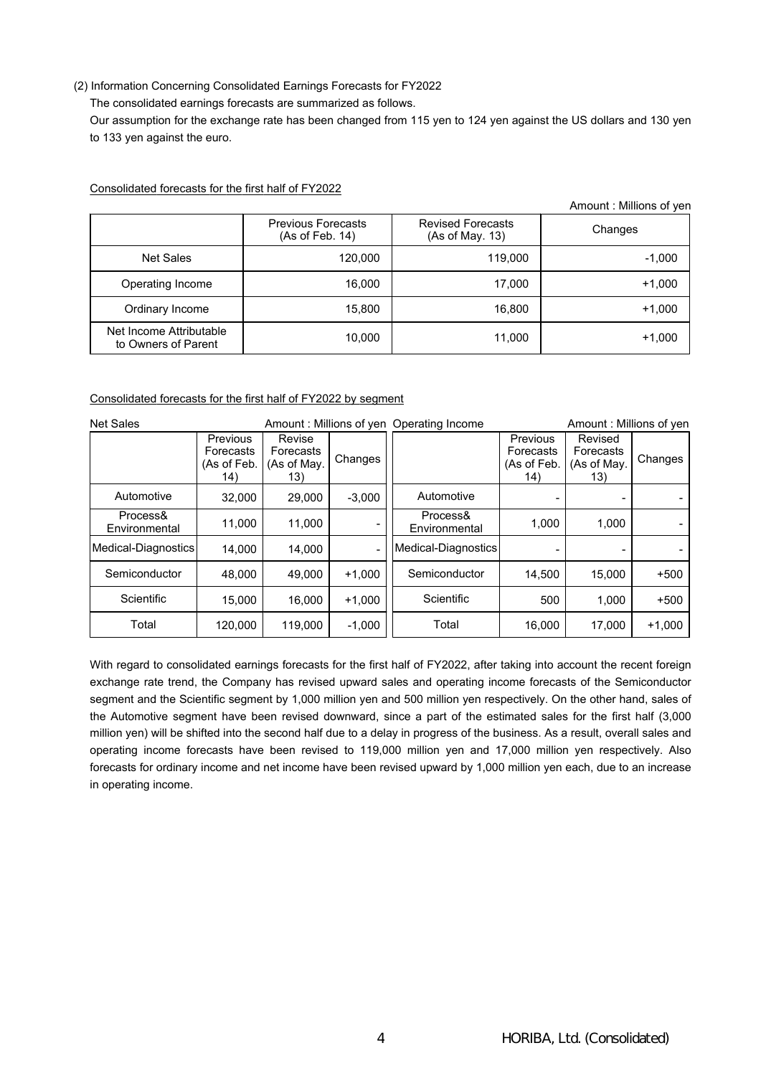# (2) Information Concerning Consolidated Earnings Forecasts for FY2022

The consolidated earnings forecasts are summarized as follows.

Our assumption for the exchange rate has been changed from 115 yen to 124 yen against the US dollars and 130 yen to 133 yen against the euro.

|                                                |                                              |                                             | Amount: Millions of yen |
|------------------------------------------------|----------------------------------------------|---------------------------------------------|-------------------------|
|                                                | <b>Previous Forecasts</b><br>(As of Feb. 14) | <b>Revised Forecasts</b><br>(As of May. 13) | Changes                 |
| <b>Net Sales</b>                               | 120,000                                      | 119,000                                     | $-1,000$                |
| Operating Income                               | 16,000                                       | 17,000                                      | $+1,000$                |
| Ordinary Income                                | 15,800                                       | 16,800                                      | $+1,000$                |
| Net Income Attributable<br>to Owners of Parent | 10,000                                       | 11,000                                      | $+1,000$                |

Consolidated forecasts for the first half of FY2022

## Consolidated forecasts for the first half of FY2022 by segment

| <b>Net Sales</b>          |                                             |                                           |          | Amount: Millions of yen Operating Income |                                             | Amount: Millions of yen                    |          |
|---------------------------|---------------------------------------------|-------------------------------------------|----------|------------------------------------------|---------------------------------------------|--------------------------------------------|----------|
|                           | Previous<br>Forecasts<br>(As of Feb.<br>14) | Revise<br>Forecasts<br>(As of May.<br>13) | Changes  |                                          | Previous<br>Forecasts<br>(As of Feb.<br>14) | Revised<br>Forecasts<br>(As of May.<br>13) | Changes  |
| Automotive                | 32,000                                      | 29.000                                    | $-3,000$ | Automotive                               |                                             |                                            |          |
| Process&<br>Environmental | 11,000                                      | 11,000                                    |          | Process&<br>Environmental                | 1,000                                       | 1.000                                      |          |
| Medical-Diagnostics       | 14,000                                      | 14.000                                    |          | Medical-Diagnostics                      | -                                           | $\overline{\phantom{a}}$                   |          |
| Semiconductor             | 48.000                                      | 49.000                                    | $+1.000$ | Semiconductor                            | 14,500                                      | 15.000                                     | $+500$   |
| Scientific                | 15,000                                      | 16.000                                    | $+1.000$ | Scientific                               | 500                                         | 1,000                                      | $+500$   |
| Total                     | 120,000                                     | 119.000                                   | $-1,000$ | Total                                    | 16,000                                      | 17.000                                     | $+1,000$ |

With regard to consolidated earnings forecasts for the first half of FY2022, after taking into account the recent foreign exchange rate trend, the Company has revised upward sales and operating income forecasts of the Semiconductor segment and the Scientific segment by 1,000 million yen and 500 million yen respectively. On the other hand, sales of the Automotive segment have been revised downward, since a part of the estimated sales for the first half (3,000 million yen) will be shifted into the second half due to a delay in progress of the business. As a result, overall sales and operating income forecasts have been revised to 119,000 million yen and 17,000 million yen respectively. Also forecasts for ordinary income and net income have been revised upward by 1,000 million yen each, due to an increase in operating income.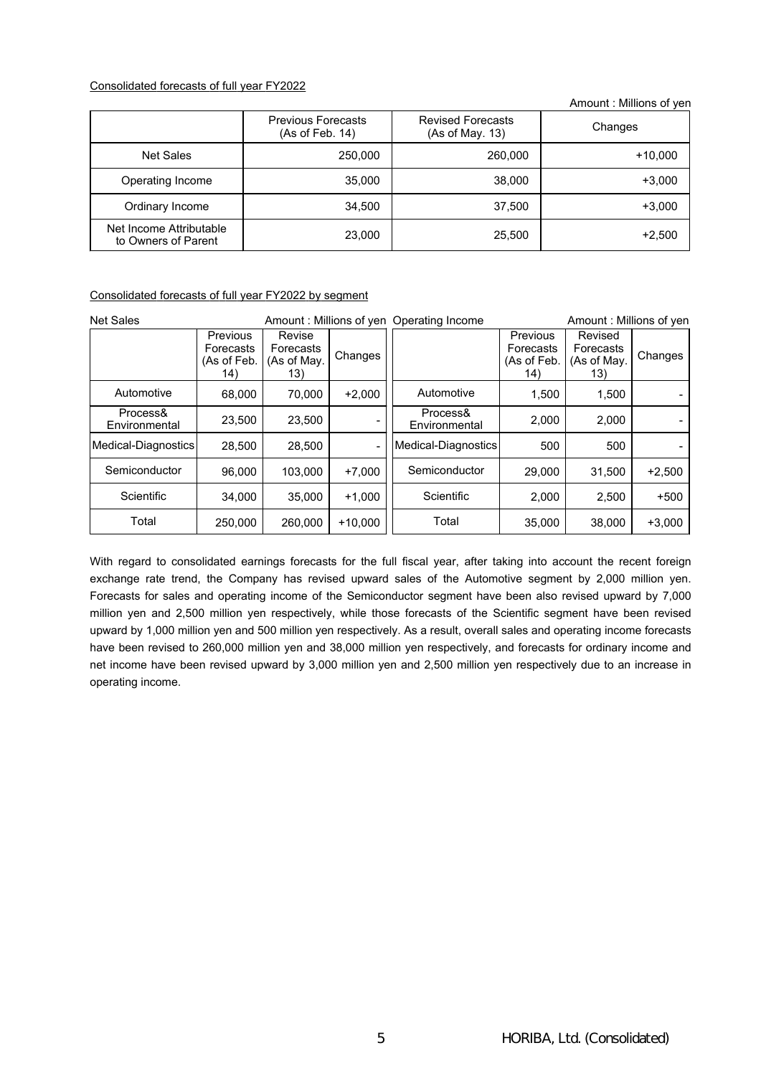## Consolidated forecasts of full year FY2022

Amount : Millions of yen

|                                                | <b>Previous Forecasts</b><br>(As of Feb. 14) | <b>Revised Forecasts</b><br>(As of May. 13) | Changes  |
|------------------------------------------------|----------------------------------------------|---------------------------------------------|----------|
| Net Sales                                      | 250,000                                      | 260,000                                     | +10,000  |
| Operating Income                               | 35,000                                       | 38,000                                      | $+3,000$ |
| Ordinary Income                                | 34,500                                       | 37,500                                      | $+3,000$ |
| Net Income Attributable<br>to Owners of Parent | 23,000                                       | 25,500                                      | $+2,500$ |

## Consolidated forecasts of full year FY2022 by segment

| <b>Net Sales</b>          |                                                    |                                           |           | Amount: Millions of yen Operating Income |                                             | Amount: Millions of yen                    |          |
|---------------------------|----------------------------------------------------|-------------------------------------------|-----------|------------------------------------------|---------------------------------------------|--------------------------------------------|----------|
|                           | <b>Previous</b><br>Forecasts<br>(As of Feb.<br>14) | Revise<br>Forecasts<br>(As of May.<br>13) | Changes   |                                          | Previous<br>Forecasts<br>(As of Feb.<br>14) | Revised<br>Forecasts<br>(As of May.<br>13) | Changes  |
| Automotive                | 68,000                                             | 70,000                                    | $+2,000$  | Automotive                               | 1,500                                       | 1,500                                      |          |
| Process&<br>Environmental | 23.500                                             | 23.500                                    |           | Process&<br>Environmental                | 2.000                                       | 2.000                                      |          |
| Medical-Diagnostics       | 28.500                                             | 28.500                                    |           | Medical-Diagnostics                      | 500                                         | 500                                        |          |
| Semiconductor             | 96.000                                             | 103.000                                   | $+7.000$  | Semiconductor                            | 29.000                                      | 31,500                                     | $+2,500$ |
| Scientific                | 34.000                                             | 35.000                                    | $+1.000$  | Scientific                               | 2.000                                       | 2.500                                      | $+500$   |
| Total                     | 250,000                                            | 260,000                                   | $+10.000$ | Total                                    | 35,000                                      | 38,000                                     | $+3,000$ |

With regard to consolidated earnings forecasts for the full fiscal year, after taking into account the recent foreign exchange rate trend, the Company has revised upward sales of the Automotive segment by 2,000 million yen. Forecasts for sales and operating income of the Semiconductor segment have been also revised upward by 7,000 million yen and 2,500 million yen respectively, while those forecasts of the Scientific segment have been revised upward by 1,000 million yen and 500 million yen respectively. As a result, overall sales and operating income forecasts have been revised to 260,000 million yen and 38,000 million yen respectively, and forecasts for ordinary income and net income have been revised upward by 3,000 million yen and 2,500 million yen respectively due to an increase in operating income.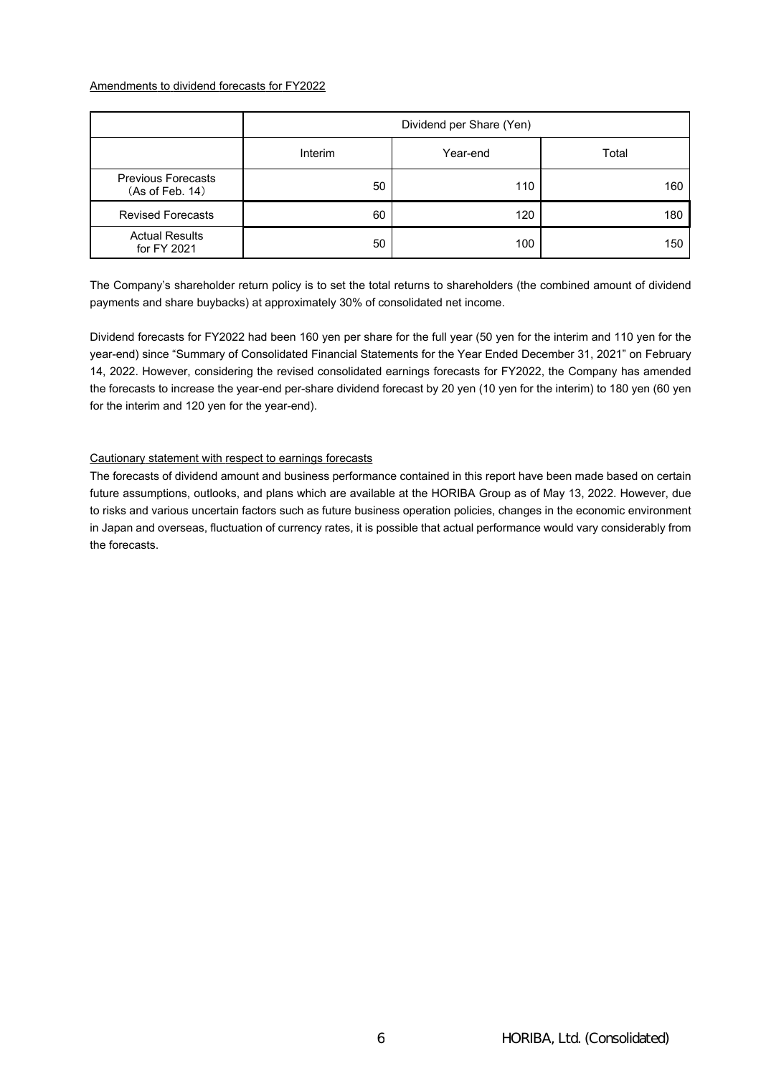## Amendments to dividend forecasts for FY2022

|                                              | Dividend per Share (Yen) |          |       |  |  |
|----------------------------------------------|--------------------------|----------|-------|--|--|
|                                              | Interim                  | Year-end | Total |  |  |
| <b>Previous Forecasts</b><br>(As of Feb. 14) | 50                       | 110      | 160   |  |  |
| <b>Revised Forecasts</b>                     | 60                       | 120      | 180   |  |  |
| <b>Actual Results</b><br>for FY 2021         | 50                       | 100      | 150   |  |  |

The Company's shareholder return policy is to set the total returns to shareholders (the combined amount of dividend payments and share buybacks) at approximately 30% of consolidated net income.

Dividend forecasts for FY2022 had been 160 yen per share for the full year (50 yen for the interim and 110 yen for the year-end) since "Summary of Consolidated Financial Statements for the Year Ended December 31, 2021" on February 14, 2022. However, considering the revised consolidated earnings forecasts for FY2022, the Company has amended the forecasts to increase the year-end per-share dividend forecast by 20 yen (10 yen for the interim) to 180 yen (60 yen for the interim and 120 yen for the year-end).

# Cautionary statement with respect to earnings forecasts

The forecasts of dividend amount and business performance contained in this report have been made based on certain future assumptions, outlooks, and plans which are available at the HORIBA Group as of May 13, 2022. However, due to risks and various uncertain factors such as future business operation policies, changes in the economic environment in Japan and overseas, fluctuation of currency rates, it is possible that actual performance would vary considerably from the forecasts.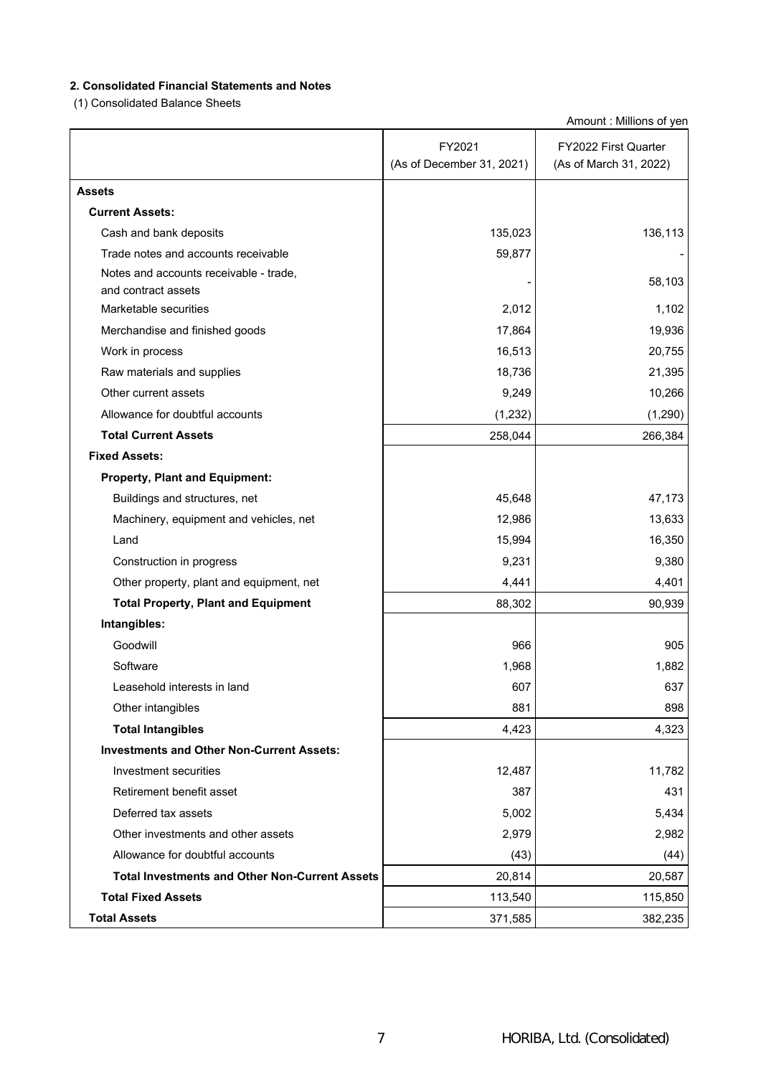# **2. Consolidated Financial Statements and Notes**

(1) Consolidated Balance Sheets

Amount : Millions of yen

|                                                               | FY2021                    | FY2022 First Quarter   |
|---------------------------------------------------------------|---------------------------|------------------------|
|                                                               | (As of December 31, 2021) | (As of March 31, 2022) |
| <b>Assets</b>                                                 |                           |                        |
| <b>Current Assets:</b>                                        |                           |                        |
| Cash and bank deposits                                        | 135,023                   | 136,113                |
| Trade notes and accounts receivable                           | 59,877                    |                        |
| Notes and accounts receivable - trade,<br>and contract assets |                           | 58,103                 |
| Marketable securities                                         | 2,012                     | 1,102                  |
| Merchandise and finished goods                                | 17,864                    | 19,936                 |
| Work in process                                               | 16,513                    | 20,755                 |
| Raw materials and supplies                                    | 18,736                    | 21,395                 |
| Other current assets                                          | 9,249                     | 10,266                 |
| Allowance for doubtful accounts                               | (1,232)                   | (1,290)                |
| <b>Total Current Assets</b>                                   | 258,044                   | 266,384                |
| <b>Fixed Assets:</b>                                          |                           |                        |
| <b>Property, Plant and Equipment:</b>                         |                           |                        |
| Buildings and structures, net                                 | 45,648                    | 47,173                 |
| Machinery, equipment and vehicles, net                        | 12,986                    | 13,633                 |
| Land                                                          | 15,994                    | 16,350                 |
| Construction in progress                                      | 9,231                     | 9,380                  |
| Other property, plant and equipment, net                      | 4,441                     | 4,401                  |
| <b>Total Property, Plant and Equipment</b>                    | 88,302                    | 90,939                 |
| Intangibles:                                                  |                           |                        |
| Goodwill                                                      | 966                       | 905                    |
| Software                                                      | 1,968                     | 1,882                  |
| Leasehold interests in land                                   | 607                       | 637                    |
| Other intangibles                                             | 881                       | 898                    |
| <b>Total Intangibles</b>                                      | 4,423                     | 4,323                  |
| <b>Investments and Other Non-Current Assets:</b>              |                           |                        |
| Investment securities                                         | 12,487                    | 11,782                 |
| Retirement benefit asset                                      | 387                       | 431                    |
| Deferred tax assets                                           | 5,002                     | 5,434                  |
| Other investments and other assets                            | 2,979                     | 2,982                  |
| Allowance for doubtful accounts                               | (43)                      | (44)                   |
| <b>Total Investments and Other Non-Current Assets</b>         | 20,814                    | 20,587                 |
| <b>Total Fixed Assets</b>                                     | 113,540                   | 115,850                |
| <b>Total Assets</b>                                           | 371,585                   | 382,235                |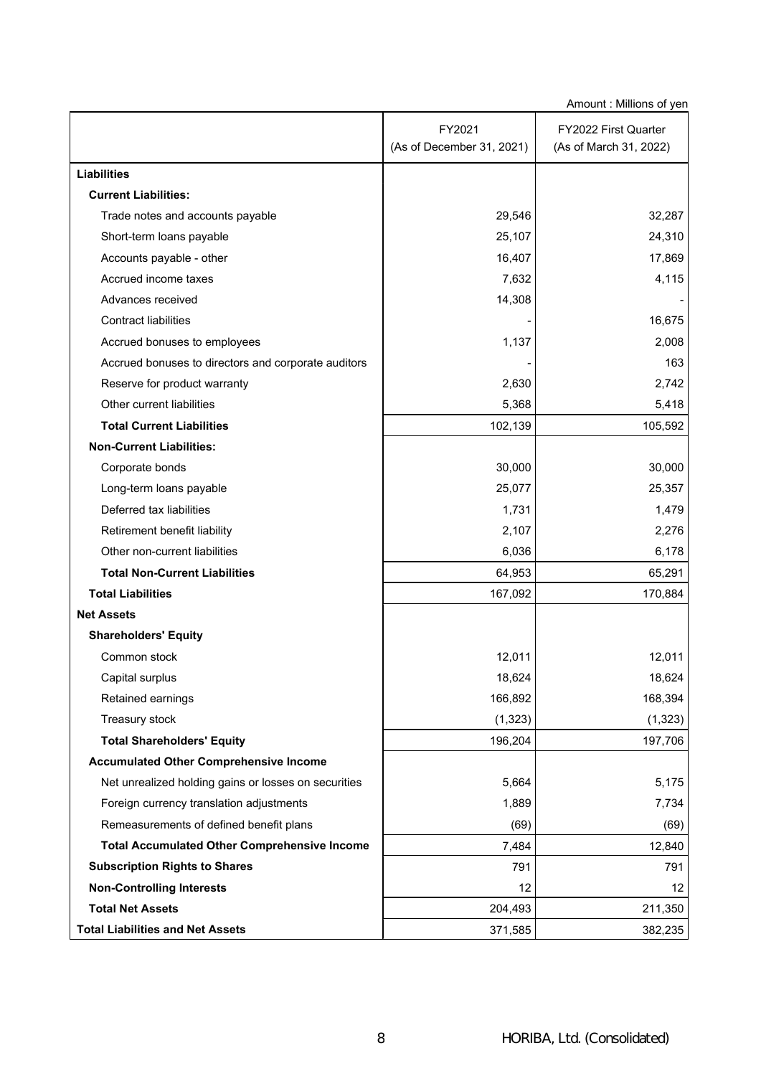| Amount: Millions of yen                              |                           |                        |  |  |  |  |
|------------------------------------------------------|---------------------------|------------------------|--|--|--|--|
|                                                      | FY2021                    | FY2022 First Quarter   |  |  |  |  |
|                                                      | (As of December 31, 2021) | (As of March 31, 2022) |  |  |  |  |
| <b>Liabilities</b>                                   |                           |                        |  |  |  |  |
| <b>Current Liabilities:</b>                          |                           |                        |  |  |  |  |
| Trade notes and accounts payable                     | 29,546                    | 32,287                 |  |  |  |  |
| Short-term loans payable                             | 25,107                    | 24,310                 |  |  |  |  |
| Accounts payable - other                             | 16,407                    | 17,869                 |  |  |  |  |
| Accrued income taxes                                 | 7,632                     | 4,115                  |  |  |  |  |
| Advances received                                    | 14,308                    |                        |  |  |  |  |
| <b>Contract liabilities</b>                          |                           | 16,675                 |  |  |  |  |
| Accrued bonuses to employees                         | 1,137                     | 2,008                  |  |  |  |  |
| Accrued bonuses to directors and corporate auditors  |                           | 163                    |  |  |  |  |
| Reserve for product warranty                         | 2,630                     | 2,742                  |  |  |  |  |
| Other current liabilities                            | 5,368                     | 5,418                  |  |  |  |  |
| <b>Total Current Liabilities</b>                     | 102,139                   | 105,592                |  |  |  |  |
| <b>Non-Current Liabilities:</b>                      |                           |                        |  |  |  |  |
| Corporate bonds                                      | 30,000                    | 30,000                 |  |  |  |  |
| Long-term loans payable                              | 25,077                    | 25,357                 |  |  |  |  |
| Deferred tax liabilities                             | 1,731                     | 1,479                  |  |  |  |  |
| Retirement benefit liability                         | 2,107                     | 2,276                  |  |  |  |  |
| Other non-current liabilities                        | 6,036                     | 6,178                  |  |  |  |  |
| <b>Total Non-Current Liabilities</b>                 | 64,953                    | 65,291                 |  |  |  |  |
| <b>Total Liabilities</b>                             | 167,092                   | 170,884                |  |  |  |  |
| <b>Net Assets</b>                                    |                           |                        |  |  |  |  |
| <b>Shareholders' Equity</b>                          |                           |                        |  |  |  |  |
| Common stock                                         | 12,011                    | 12,011                 |  |  |  |  |
| Capital surplus                                      | 18,624                    | 18,624                 |  |  |  |  |
| Retained earnings                                    | 166,892                   | 168,394                |  |  |  |  |
| Treasury stock                                       | (1, 323)                  | (1, 323)               |  |  |  |  |
| <b>Total Shareholders' Equity</b>                    | 196,204                   | 197,706                |  |  |  |  |
| <b>Accumulated Other Comprehensive Income</b>        |                           |                        |  |  |  |  |
| Net unrealized holding gains or losses on securities | 5,664                     | 5,175                  |  |  |  |  |
| Foreign currency translation adjustments             | 1,889                     | 7,734                  |  |  |  |  |
| Remeasurements of defined benefit plans              | (69)                      | (69)                   |  |  |  |  |
| <b>Total Accumulated Other Comprehensive Income</b>  | 7,484                     | 12,840                 |  |  |  |  |
| <b>Subscription Rights to Shares</b>                 | 791                       | 791                    |  |  |  |  |
| <b>Non-Controlling Interests</b>                     | 12                        | 12                     |  |  |  |  |
| <b>Total Net Assets</b>                              | 204,493                   | 211,350                |  |  |  |  |
| <b>Total Liabilities and Net Assets</b>              | 371,585                   | 382,235                |  |  |  |  |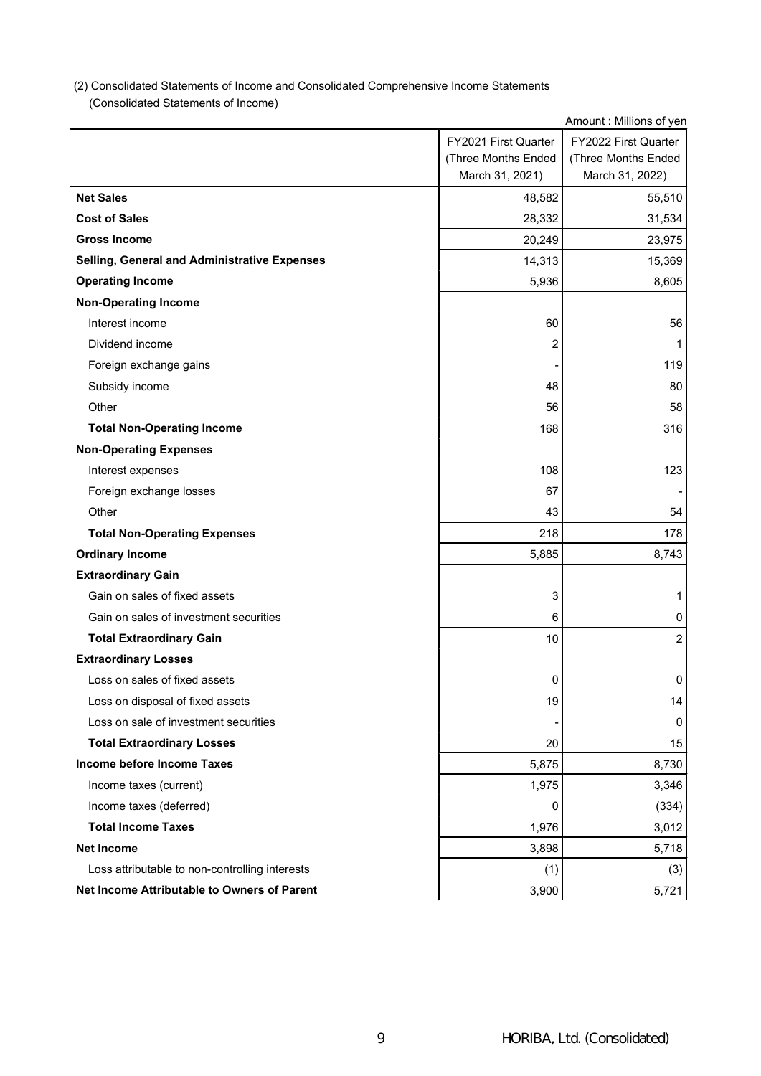# (2) Consolidated Statements of Income and Consolidated Comprehensive Income Statements

 $\overline{\phantom{a}}$  EV2021 First Quarter (Consolidated Statements of Income)

 $\overline{1}$ 

|                                                | FY2021 First Quarter | FY2022 First Quarter |
|------------------------------------------------|----------------------|----------------------|
|                                                | (Three Months Ended  | (Three Months Ended  |
|                                                | March 31, 2021)      | March 31, 2022)      |
| <b>Net Sales</b>                               | 48,582               | 55,510               |
| <b>Cost of Sales</b>                           | 28,332               | 31,534               |
| <b>Gross Income</b>                            | 20,249               | 23,975               |
| Selling, General and Administrative Expenses   | 14,313               | 15,369               |
| <b>Operating Income</b>                        | 5,936                | 8,605                |
| <b>Non-Operating Income</b>                    |                      |                      |
| Interest income                                | 60                   | 56                   |
| Dividend income                                | 2                    | 1                    |
| Foreign exchange gains                         |                      | 119                  |
| Subsidy income                                 | 48                   | 80                   |
| Other                                          | 56                   | 58                   |
| <b>Total Non-Operating Income</b>              | 168                  | 316                  |
| <b>Non-Operating Expenses</b>                  |                      |                      |
| Interest expenses                              | 108                  | 123                  |
| Foreign exchange losses                        | 67                   |                      |
| Other                                          | 43                   | 54                   |
| <b>Total Non-Operating Expenses</b>            | 218                  | 178                  |
| <b>Ordinary Income</b>                         | 5,885                | 8,743                |
| <b>Extraordinary Gain</b>                      |                      |                      |
| Gain on sales of fixed assets                  | 3                    | 1                    |
| Gain on sales of investment securities         | 6                    | 0                    |
| <b>Total Extraordinary Gain</b>                | 10                   | $\overline{c}$       |
| <b>Extraordinary Losses</b>                    |                      |                      |
| Loss on sales of fixed assets                  | 0                    | 0                    |
| Loss on disposal of fixed assets               | 19                   | 14                   |
| Loss on sale of investment securities          |                      | 0                    |
| <b>Total Extraordinary Losses</b>              | 20                   | 15                   |
| Income before Income Taxes                     | 5,875                | 8,730                |
| Income taxes (current)                         | 1,975                | 3,346                |
| Income taxes (deferred)                        | 0                    | (334)                |
| <b>Total Income Taxes</b>                      | 1,976                | 3,012                |
| <b>Net Income</b>                              | 3,898                | 5,718                |
| Loss attributable to non-controlling interests | (1)                  | (3)                  |
| Net Income Attributable to Owners of Parent    | 3,900                | 5,721                |

Amount : Millions of yen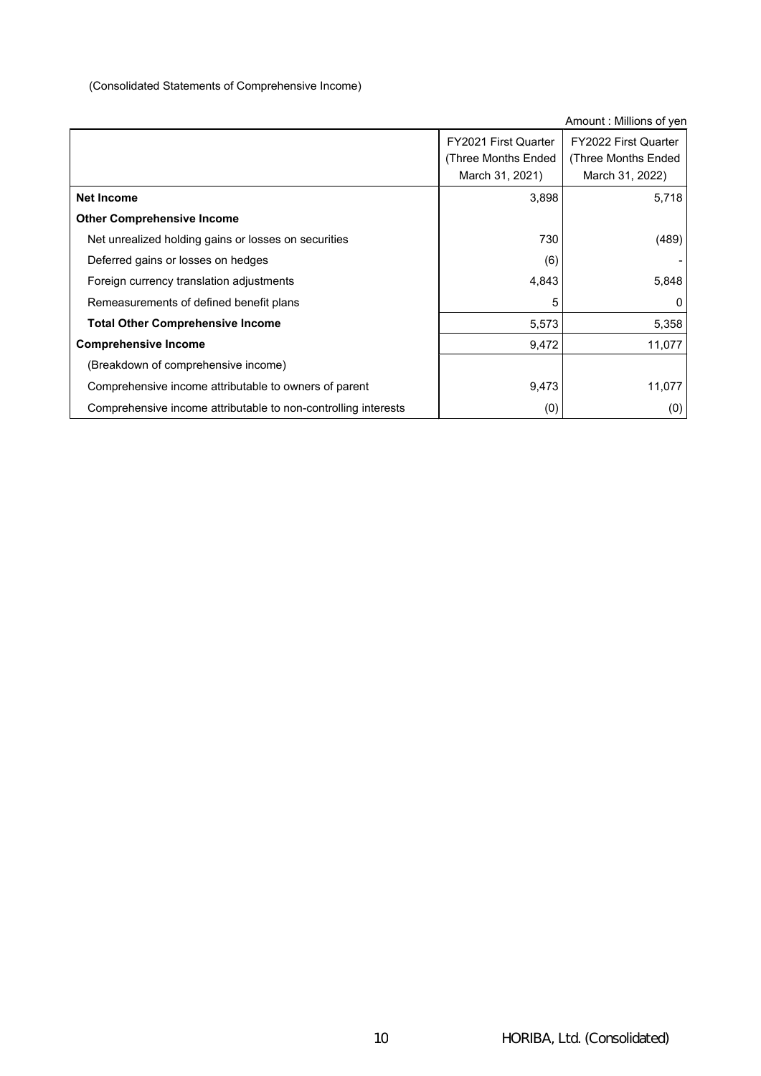# (Consolidated Statements of Comprehensive Income)

|                                                                |                             | Amount: Millions of yen |
|----------------------------------------------------------------|-----------------------------|-------------------------|
|                                                                | <b>FY2021 First Quarter</b> | FY2022 First Quarter    |
|                                                                | (Three Months Ended         | (Three Months Ended     |
|                                                                | March 31, 2021)             | March 31, 2022)         |
| <b>Net Income</b>                                              | 3,898                       | 5,718                   |
| <b>Other Comprehensive Income</b>                              |                             |                         |
| Net unrealized holding gains or losses on securities           | 730                         | (489)                   |
| Deferred gains or losses on hedges                             | (6)                         |                         |
| Foreign currency translation adjustments                       | 4,843                       | 5,848                   |
| Remeasurements of defined benefit plans                        | 5                           |                         |
| <b>Total Other Comprehensive Income</b>                        | 5,573                       | 5,358                   |
| <b>Comprehensive Income</b>                                    | 9,472                       | 11,077                  |
| (Breakdown of comprehensive income)                            |                             |                         |
| Comprehensive income attributable to owners of parent          | 9,473                       | 11,077                  |
| Comprehensive income attributable to non-controlling interests | (0)                         | (0)                     |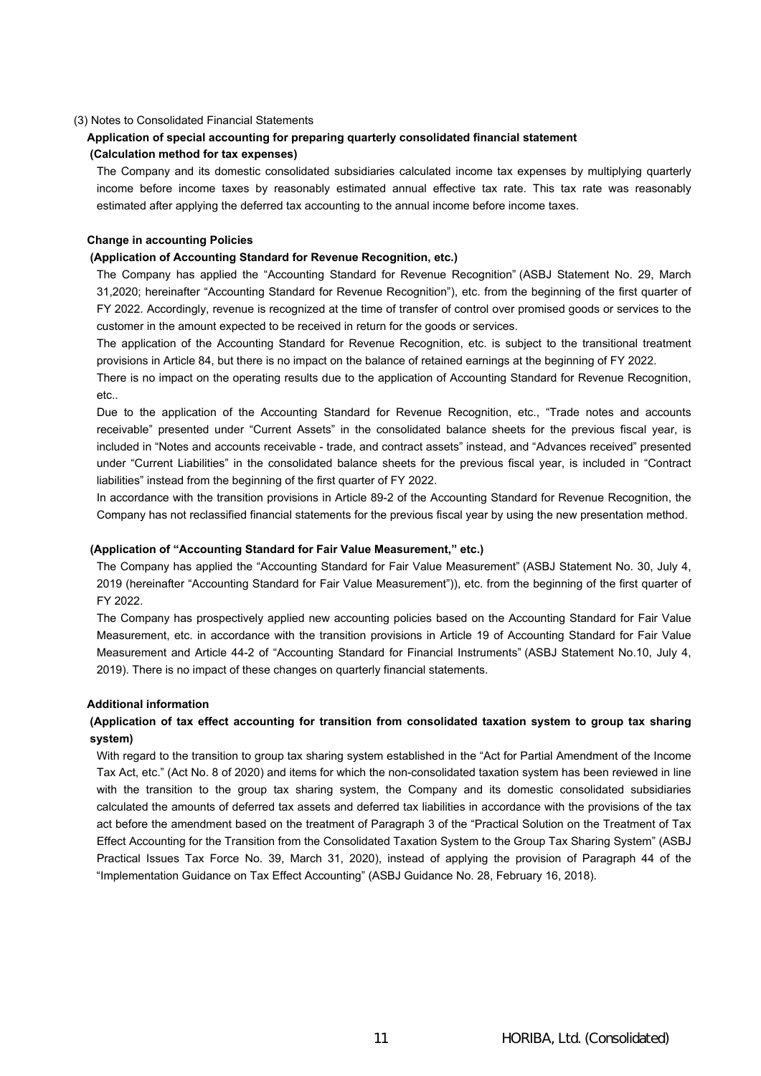## (3) Notes to Consolidated Financial Statements

## **Application of special accounting for preparing quarterly consolidated financial statement (Calculation method for tax expenses)**

The Company and its domestic consolidated subsidiaries calculated income tax expenses by multiplying quarterly income before income taxes by reasonably estimated annual effective tax rate. This tax rate was reasonably estimated after applying the deferred tax accounting to the annual income before income taxes.

## **Change in accounting Policies**

## **(Application of Accounting Standard for Revenue Recognition, etc.)**

The Company has applied the "Accounting Standard for Revenue Recognition" (ASBJ Statement No. 29, March 31,2020; hereinafter "Accounting Standard for Revenue Recognition"), etc. from the beginning of the first quarter of FY 2022. Accordingly, revenue is recognized at the time of transfer of control over promised goods or services to the customer in the amount expected to be received in return for the goods or services.

The application of the Accounting Standard for Revenue Recognition, etc. is subject to the transitional treatment provisions in Article 84, but there is no impact on the balance of retained earnings at the beginning of FY 2022.

There is no impact on the operating results due to the application of Accounting Standard for Revenue Recognition, etc..

Due to the application of the Accounting Standard for Revenue Recognition, etc., "Trade notes and accounts receivable" presented under "Current Assets" in the consolidated balance sheets for the previous fiscal year, is included in "Notes and accounts receivable - trade, and contract assets" instead, and "Advances received" presented under "Current Liabilities" in the consolidated balance sheets for the previous fiscal year, is included in "Contract liabilities" instead from the beginning of the first quarter of FY 2022.

In accordance with the transition provisions in Article 89-2 of the Accounting Standard for Revenue Recognition, the Company has not reclassified financial statements for the previous fiscal year by using the new presentation method.

### **(Application of "Accounting Standard for Fair Value Measurement," etc.)**

The Company has applied the "Accounting Standard for Fair Value Measurement" (ASBJ Statement No. 30, July 4, 2019 (hereinafter "Accounting Standard for Fair Value Measurement")), etc. from the beginning of the first quarter of FY 2022.

The Company has prospectively applied new accounting policies based on the Accounting Standard for Fair Value Measurement, etc. in accordance with the transition provisions in Article 19 of Accounting Standard for Fair Value Measurement and Article 44-2 of "Accounting Standard for Financial Instruments" (ASBJ Statement No.10, July 4, 2019). There is no impact of these changes on quarterly financial statements.

## **Additional information**

# **(Application of tax effect accounting for transition from consolidated taxation system to group tax sharing system)**

With regard to the transition to group tax sharing system established in the "Act for Partial Amendment of the Income Tax Act, etc." (Act No. 8 of 2020) and items for which the non-consolidated taxation system has been reviewed in line with the transition to the group tax sharing system, the Company and its domestic consolidated subsidiaries calculated the amounts of deferred tax assets and deferred tax liabilities in accordance with the provisions of the tax act before the amendment based on the treatment of Paragraph 3 of the "Practical Solution on the Treatment of Tax Effect Accounting for the Transition from the Consolidated Taxation System to the Group Tax Sharing System" (ASBJ Practical Issues Tax Force No. 39, March 31, 2020), instead of applying the provision of Paragraph 44 of the "Implementation Guidance on Tax Effect Accounting" (ASBJ Guidance No. 28, February 16, 2018).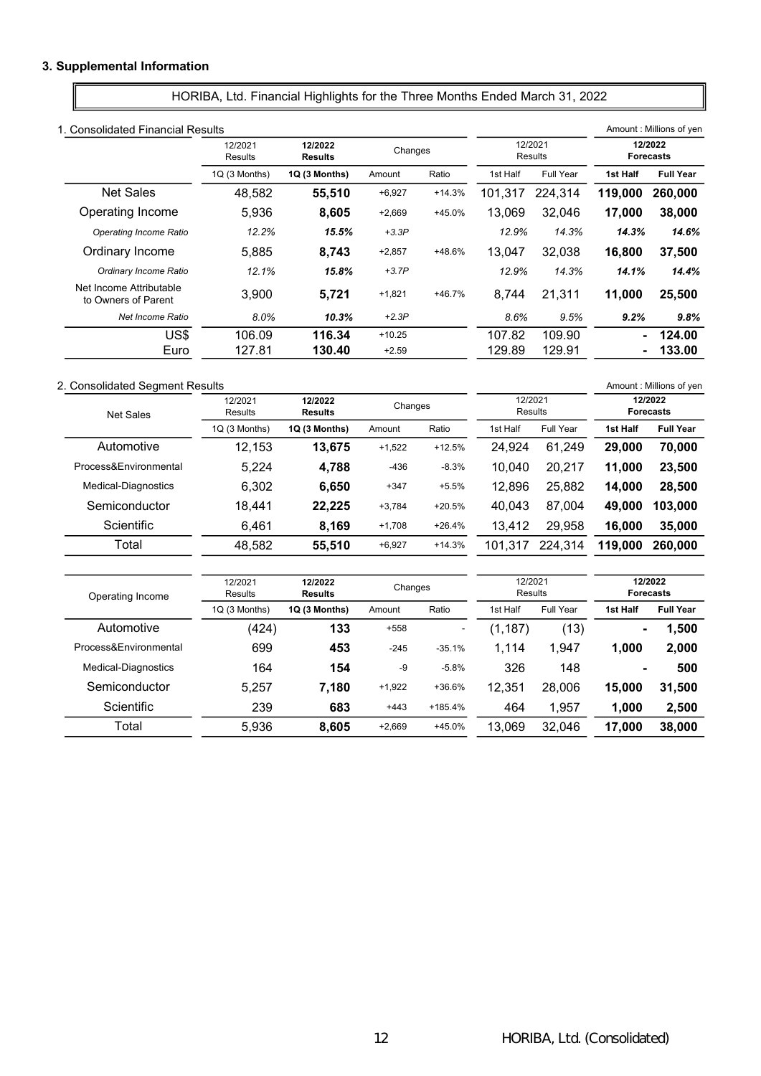# 3. Supplemental Information

HORIBA, Ltd. Financial Highlights for the Three Months Ended March 31, 2022

| 1. Consolidated Financial Results              |                           |                           |          |          |                    |           |          | Amount: Millions of yen     |
|------------------------------------------------|---------------------------|---------------------------|----------|----------|--------------------|-----------|----------|-----------------------------|
|                                                | 12/2021<br><b>Results</b> | 12/2022<br><b>Results</b> | Changes  |          | 12/2021<br>Results |           |          | 12/2022<br><b>Forecasts</b> |
|                                                | 1Q (3 Months)             | 1Q (3 Months)             | Amount   | Ratio    | 1st Half           | Full Year | 1st Half | <b>Full Year</b>            |
| <b>Net Sales</b>                               | 48,582                    | 55,510                    | $+6,927$ | $+14.3%$ | 101,317            | 224,314   | 119,000  | 260,000                     |
| Operating Income                               | 5,936                     | 8,605                     | $+2,669$ | +45.0%   | 13.069             | 32.046    | 17.000   | 38,000                      |
| Operating Income Ratio                         | 12.2%                     | 15.5%                     | $+3.3P$  |          | 12.9%              | 14.3%     | 14.3%    | 14.6%                       |
| Ordinary Income                                | 5.885                     | 8.743                     | $+2,857$ | +48.6%   | 13.047             | 32.038    | 16.800   | 37,500                      |
| Ordinary Income Ratio                          | 12.1%                     | 15.8%                     | $+3.7P$  |          | 12.9%              | 14.3%     | 14.1%    | 14.4%                       |
| Net Income Attributable<br>to Owners of Parent | 3,900                     | 5,721                     | $+1,821$ | $+46.7%$ | 8,744              | 21,311    | 11,000   | 25,500                      |
| Net Income Ratio                               | 8.0%                      | 10.3%                     | $+2.3P$  |          | 8.6%               | 9.5%      | 9.2%     | 9.8%                        |
| US\$                                           | 106.09                    | 116.34                    | $+10.25$ |          | 107.82             | 109.90    | ۰.       | 124.00                      |
| Euro                                           | 127.81                    | 130.40                    | $+2.59$  |          | 129.89             | 129.91    |          | 133.00                      |

#### 2. Consolidated Segment Results **Amount : Millions of yen** Amount : Millions of yen

Process&Environmental Medical-Diagnostics Semiconductor **Scientific** Total

| <b>Net Sales</b>      | 12/2021<br>Results | 12/2022<br><b>Results</b> | Changes  |          |                    |           | 12/2021<br>Results |                             |  | 12/2022<br><b>Forecasts</b> |
|-----------------------|--------------------|---------------------------|----------|----------|--------------------|-----------|--------------------|-----------------------------|--|-----------------------------|
|                       | 1Q (3 Months)      | 1Q (3 Months)             | Amount   | Ratio    | 1st Half           | Full Year | 1st Half           | <b>Full Year</b>            |  |                             |
| Automotive            | 12,153             | 13.675                    | $+1,522$ | $+12.5%$ | 24,924             | 61,249    | 29,000             | 70,000                      |  |                             |
| Process&Environmental | 5,224              | 4,788                     | $-436$   | $-8.3%$  | 10,040             | 20,217    | 11,000             | 23,500                      |  |                             |
| Medical-Diagnostics   | 6.302              | 6,650                     | $+347$   | $+5.5%$  | 12,896             | 25,882    | 14,000             | 28,500                      |  |                             |
| Semiconductor         | 18.441             | 22,225                    | $+3,784$ | $+20.5%$ | 40,043             | 87,004    | 49,000             | 103,000                     |  |                             |
| Scientific            | 6.461              | 8,169                     | $+1,708$ | $+26.4%$ | 13,412             | 29,958    | 16,000             | 35,000                      |  |                             |
| Total                 | 48,582             | 55,510                    | $+6,927$ | $+14.3%$ | 101,317            | 224,314   | 119,000            | 260,000                     |  |                             |
|                       |                    |                           |          |          |                    |           |                    |                             |  |                             |
| Operating Income      | 12/2021<br>Results | 12/2022<br><b>Results</b> | Changes  |          | 12/2021<br>Results |           |                    | 12/2022<br><b>Forecasts</b> |  |                             |
|                       | 1Q (3 Months)      | 1Q (3 Months)             | Amount   | Ratio    | 1st Half           | Full Year | 1st Half           | <b>Full Year</b>            |  |                             |
| Automotive            | (424)              | 133                       | $+558$   |          | (1, 187)           | (13)      | ۰                  | 1,500                       |  |                             |

699 453 -245 -35.1% 1,114 1,947 1,000 2,000 164 **154** -9 -5.8% 326 148 - 500 5,257 7,180 +1,922 +36.6% 12,351 28,006 15,000 31,500 239 683 +443 +185.4% 464 1,957 1,000 2,500 5,936 8,605 +2,669 +45.0% 13,069 32,046 17,000 38,000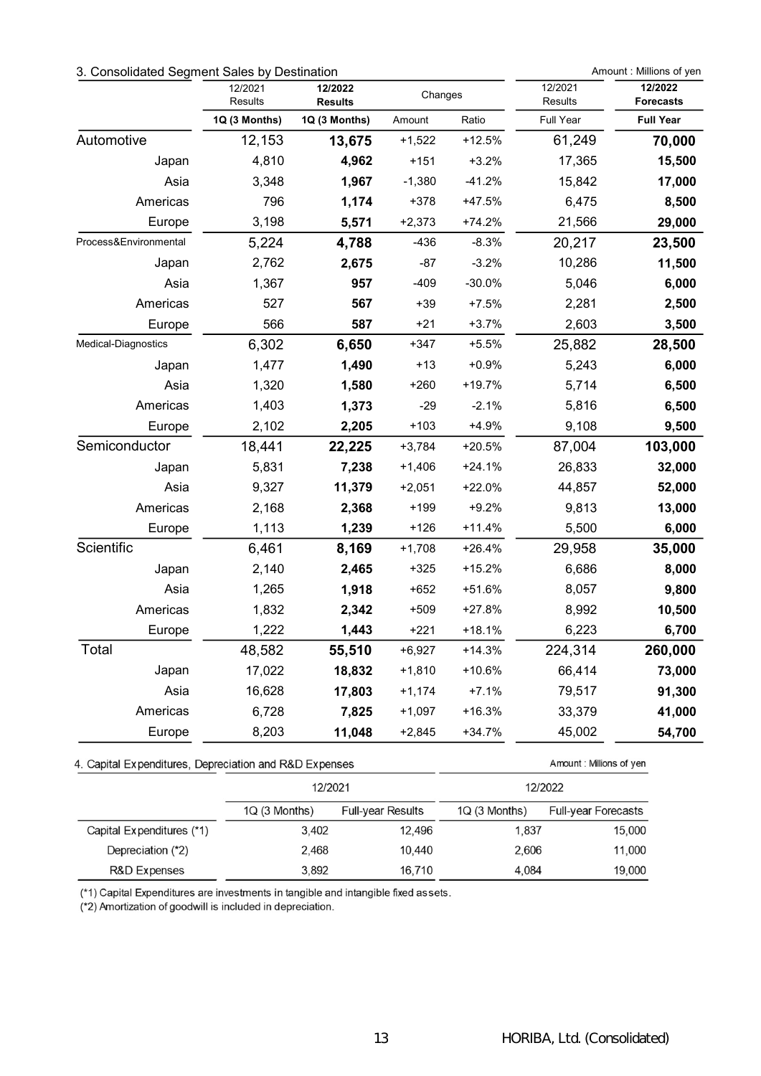# 3. Consolidated Segment Sales by Destination Amount : Millions of yen

|                                                        | 12/2021<br>Results | 12/2022<br><b>Results</b> | Changes  |          | 12/2021<br>Results      | 12/2022<br><b>Forecasts</b> |
|--------------------------------------------------------|--------------------|---------------------------|----------|----------|-------------------------|-----------------------------|
|                                                        | 1Q (3 Months)      | 1Q (3 Months)             | Amount   | Ratio    | Full Year               | <b>Full Year</b>            |
| Automotive                                             | 12,153             | 13,675                    | $+1,522$ | $+12.5%$ | 61,249                  | 70,000                      |
| Japan                                                  | 4,810              | 4,962                     | $+151$   | $+3.2%$  | 17,365                  | 15,500                      |
| Asia                                                   | 3,348              | 1,967                     | $-1,380$ | $-41.2%$ | 15,842                  | 17,000                      |
| Americas                                               | 796                | 1,174                     | $+378$   | $+47.5%$ | 6,475                   | 8,500                       |
| Europe                                                 | 3,198              | 5,571                     | $+2,373$ | $+74.2%$ | 21,566                  | 29,000                      |
| Process&Environmental                                  | 5,224              | 4,788                     | $-436$   | $-8.3%$  | 20,217                  | 23,500                      |
| Japan                                                  | 2,762              | 2,675                     | $-87$    | $-3.2%$  | 10,286                  | 11,500                      |
| Asia                                                   | 1,367              | 957                       | $-409$   | $-30.0%$ | 5,046                   | 6,000                       |
| Americas                                               | 527                | 567                       | $+39$    | $+7.5%$  | 2,281                   | 2,500                       |
| Europe                                                 | 566                | 587                       | $+21$    | $+3.7%$  | 2,603                   | 3,500                       |
| Medical-Diagnostics                                    | 6,302              | 6,650                     | $+347$   | $+5.5%$  | 25,882                  | 28,500                      |
| Japan                                                  | 1,477              | 1,490                     | $+13$    | $+0.9%$  | 5,243                   | 6,000                       |
| Asia                                                   | 1,320              | 1,580                     | $+260$   | $+19.7%$ | 5,714                   | 6,500                       |
| Americas                                               | 1,403              | 1,373                     | $-29$    | $-2.1%$  | 5,816                   | 6,500                       |
| Europe                                                 | 2,102              | 2,205                     | $+103$   | $+4.9%$  | 9,108                   | 9,500                       |
| Semiconductor                                          | 18,441             | 22,225                    | $+3,784$ | $+20.5%$ | 87,004                  | 103,000                     |
| Japan                                                  | 5,831              | 7,238                     | $+1,406$ | $+24.1%$ | 26,833                  | 32,000                      |
| Asia                                                   | 9,327              | 11,379                    | $+2,051$ | $+22.0%$ | 44,857                  | 52,000                      |
| Americas                                               | 2,168              | 2,368                     | $+199$   | $+9.2%$  | 9,813                   | 13,000                      |
| Europe                                                 | 1,113              | 1,239                     | $+126$   | $+11.4%$ | 5,500                   | 6,000                       |
| Scientific                                             | 6,461              | 8,169                     | $+1,708$ | $+26.4%$ | 29,958                  | 35,000                      |
| Japan                                                  | 2,140              | 2,465                     | $+325$   | $+15.2%$ | 6,686                   | 8,000                       |
| Asia                                                   | 1,265              | 1,918                     | $+652$   | $+51.6%$ | 8,057                   | 9,800                       |
| Americas                                               | 1,832              | 2,342                     | $+509$   | $+27.8%$ | 8,992                   | 10,500                      |
| Europe                                                 | 1,222              | 1,443                     | $+221$   | $+18.1%$ | 6,223                   | 6,700                       |
| Total                                                  | 48,582             | 55,510                    | $+6,927$ | $+14.3%$ | 224,314                 | 260,000                     |
| Japan                                                  | 17,022             | 18,832                    | $+1,810$ | $+10.6%$ | 66,414                  | 73,000                      |
| Asia                                                   | 16,628             | 17,803                    | $+1,174$ | $+7.1%$  | 79,517                  | 91,300                      |
| Americas                                               | 6,728              | 7,825                     | $+1,097$ | $+16.3%$ | 33,379                  | 41,000                      |
| Europe                                                 | 8,203              | 11,048                    | $+2,845$ | $+34.7%$ | 45,002                  | 54,700                      |
| 4. Capital Expenditures, Depreciation and R&D Expenses |                    |                           |          |          | Amount: Millions of yen |                             |
|                                                        |                    | 12/2021                   |          |          | 12/2022                 |                             |

|                           | LLLUL          |                          |                | 14 L J L J                 |
|---------------------------|----------------|--------------------------|----------------|----------------------------|
|                           | $1Q(3$ Months) | <b>Full-year Results</b> | $1Q(3$ Months) | <b>Full-year Forecasts</b> |
| Capital Expenditures (*1) | 3.402          | 12.496                   | 1,837          | 15,000                     |
| Depreciation (*2)         | 2.468          | 10.440                   | 2,606          | 11,000                     |
| R&D Expenses              | 3.892          | 16,710                   | 4,084          | 19,000                     |

(\*1) Capital Expenditures are investments in tangible and intangible fixed assets.

(\*2) Amortization of goodwill is included in depreciation.